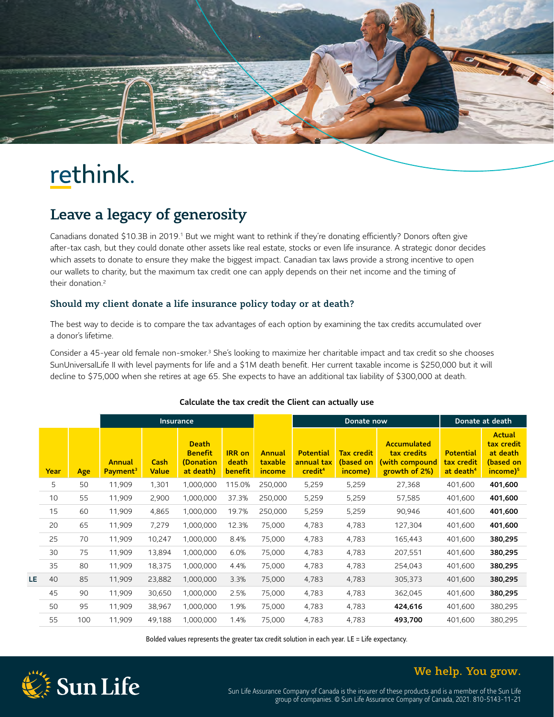

# rethink.

## Leave a legacy of generosity

Canadians donated \$10.3B in 2019.<sup>1</sup> But we might want to rethink if they're donating efficiently? Donors often give after-tax cash, but they could donate other assets like real estate, stocks or even life insurance. A strategic donor decides which assets to donate to ensure they make the biggest impact. Canadian tax laws provide a strong incentive to open our wallets to charity, but the maximum tax credit one can apply depends on their net income and the timing of their donation.<sup>[2](#page-1-1)</sup>

#### Should my client donate a life insurance policy today or at death?

The best way to decide is to compare the tax advantages of each option by examining the tax credits accumulated over a donor's lifetime.

Consider a 45-year old female non-smoker.<sup>3</sup> She's looking to maximize her charitable impact and tax credit so she chooses SunUniversalLife II with level payments for life and a \$1M death benefit. Her current taxable income is \$250,000 but it will decline to \$75,000 when she retires at age 65. She expects to have an additional tax liability of \$300,000 at death.

|    |      |     | <b>Insurance</b>               |                      |                                                          |                                          | Donate now                         |                                                       |                                           | Donate at death                                                      |                                                         |                                                                                |
|----|------|-----|--------------------------------|----------------------|----------------------------------------------------------|------------------------------------------|------------------------------------|-------------------------------------------------------|-------------------------------------------|----------------------------------------------------------------------|---------------------------------------------------------|--------------------------------------------------------------------------------|
|    | Year | Age | Annual<br>Payment <sup>3</sup> | Cash<br><b>Value</b> | <b>Death</b><br><b>Benefit</b><br>(Donation<br>at death) | <b>IRR</b> on<br>death<br><b>benefit</b> | Annual<br>taxable<br><i>income</i> | <b>Potential</b><br>annual tax<br>credit <sup>4</sup> | <b>Tax credit</b><br>(based on<br>income) | <b>Accumulated</b><br>tax credits<br>(with compound<br>growth of 2%) | <b>Potential</b><br>tax credit<br>at death <sup>4</sup> | <b>Actual</b><br>tax credit<br>at death<br>(based on<br>$income)$ <sup>5</sup> |
|    | 5    | 50  | 11,909                         | 1,301                | 1,000,000                                                | 115.0%                                   | 250,000                            | 5,259                                                 | 5,259                                     | 27,368                                                               | 401,600                                                 | 401,600                                                                        |
|    | 10   | 55  | 11,909                         | 2,900                | 1,000,000                                                | 37.3%                                    | 250,000                            | 5,259                                                 | 5,259                                     | 57,585                                                               | 401,600                                                 | 401,600                                                                        |
|    | 15   | 60  | 11,909                         | 4,865                | 1,000,000                                                | 19.7%                                    | 250,000                            | 5,259                                                 | 5,259                                     | 90,946                                                               | 401,600                                                 | 401,600                                                                        |
|    | 20   | 65  | 11,909                         | 7,279                | 1,000,000                                                | 12.3%                                    | 75,000                             | 4,783                                                 | 4,783                                     | 127,304                                                              | 401,600                                                 | 401,600                                                                        |
|    | 25   | 70  | 11,909                         | 10,247               | 1,000,000                                                | 8.4%                                     | 75,000                             | 4,783                                                 | 4,783                                     | 165,443                                                              | 401,600                                                 | 380,295                                                                        |
|    | 30   | 75  | 11,909                         | 13,894               | 1,000,000                                                | 6.0%                                     | 75,000                             | 4,783                                                 | 4,783                                     | 207,551                                                              | 401,600                                                 | 380,295                                                                        |
|    | 35   | 80  | 11,909                         | 18,375               | 1,000,000                                                | 4.4%                                     | 75,000                             | 4,783                                                 | 4,783                                     | 254,043                                                              | 401,600                                                 | 380,295                                                                        |
| LE | 40   | 85  | 11,909                         | 23,882               | 1,000,000                                                | 3.3%                                     | 75,000                             | 4,783                                                 | 4,783                                     | 305,373                                                              | 401,600                                                 | 380,295                                                                        |
|    | 45   | 90  | 11,909                         | 30,650               | 1,000,000                                                | 2.5%                                     | 75,000                             | 4,783                                                 | 4,783                                     | 362,045                                                              | 401,600                                                 | 380,295                                                                        |
|    | 50   | 95  | 11,909                         | 38,967               | 1,000,000                                                | 1.9%                                     | 75,000                             | 4,783                                                 | 4,783                                     | 424,616                                                              | 401,600                                                 | 380,295                                                                        |
|    | 55   | 100 | 11,909                         | 49,188               | 1,000,000                                                | 1.4%                                     | 75,000                             | 4,783                                                 | 4,783                                     | 493,700                                                              | 401,600                                                 | 380,295                                                                        |

#### Calculate the tax credit the Client can actually use

Bolded values represents the greater tax credit solution in each year. LE = Life expectancy.



### We help. You grow.

Sun Life Assurance Company of Canada is the insurer of these products and is a member of the Sun Life group of companies. © Sun Life Assurance Company of Canada, 2021. 810-5143-11-21